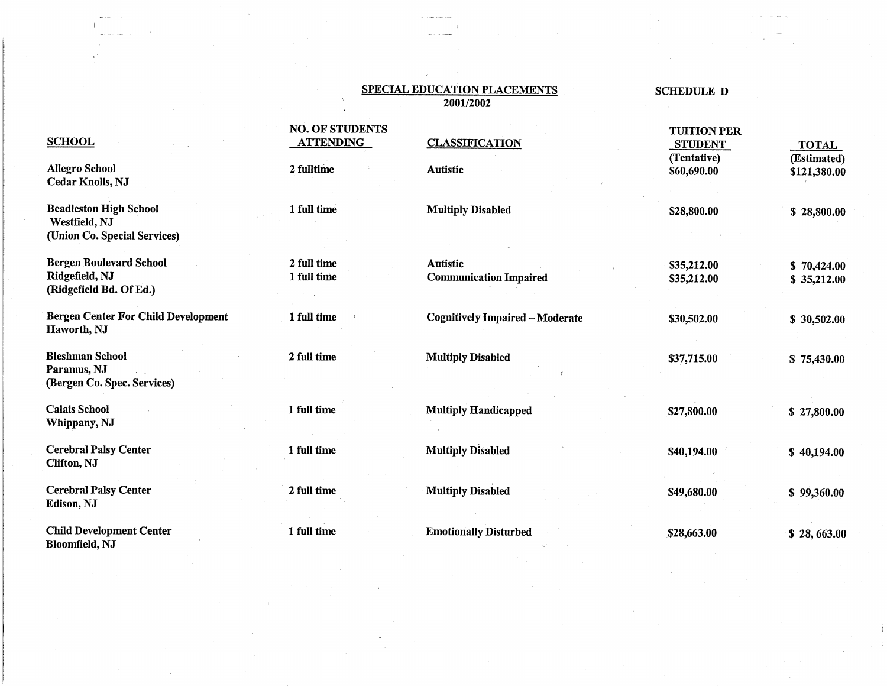### SPECIAL EDUCATION PLACEMENTS SCHEDULE D 2001/2002

## **NO. OF STUDENTS CLASSIFICATION FERMILLE STUDENT STUDENT STUDENT STUDENT** SCHOOL **ATTENDING** CLASSIFICATION STUDENT TOTAL (Tentative) (Estimated)<br>
\$60,690.00 \$121,380.00 Allegro School 2 fulltime 2 fulltime Autistic 360,690.00 \$121,380.00 Cedar Knolls, NJ Beadleston High School 1 full time Westfield, NJ Multiply Disabled \$28,800.00 *\$* 28,800.00 (Union Co. Special Services) Bergen Boulevard School 2 full time Autistic \$35,212.00 \$ 70,424.00 Ridgefield, NJ (Ridgefield Bd. Of Ed.) Communication Impaired \$35,212.00 *\$* 35,212.00 Bergen Center For Child Development 1 full time Cognitively Impaired - Moderate \$30,502.00 \$ 30,502.00 Haworth, NJ Bleshman School **2** full time Multiply Disabled \$37,715.00 \$ 75,430.00 Paramus, NJ (Bergen Co. Spec. Services) Calais School **1 full time** Multiply Handicapped \$27,800.00 \$27,800.00 \$27,800.00 Whippany, NJ Cerebral Palsy Center **1** full time Multiply Disabled \$40,194.00 \$40,194.00 \$40,194.00 Clifton, NJ  $\textbf{C}$ erebral Palsy Center **2** full time **12** full time **12** Multiply Disabled **849,680.00 \$99,360.00 \$99,360.00** Edison, NJ

Child Development Center.<br>
1 full time Emotionally Disturbed \$28,663.00 \$28,663.00 Bloomfield, NJ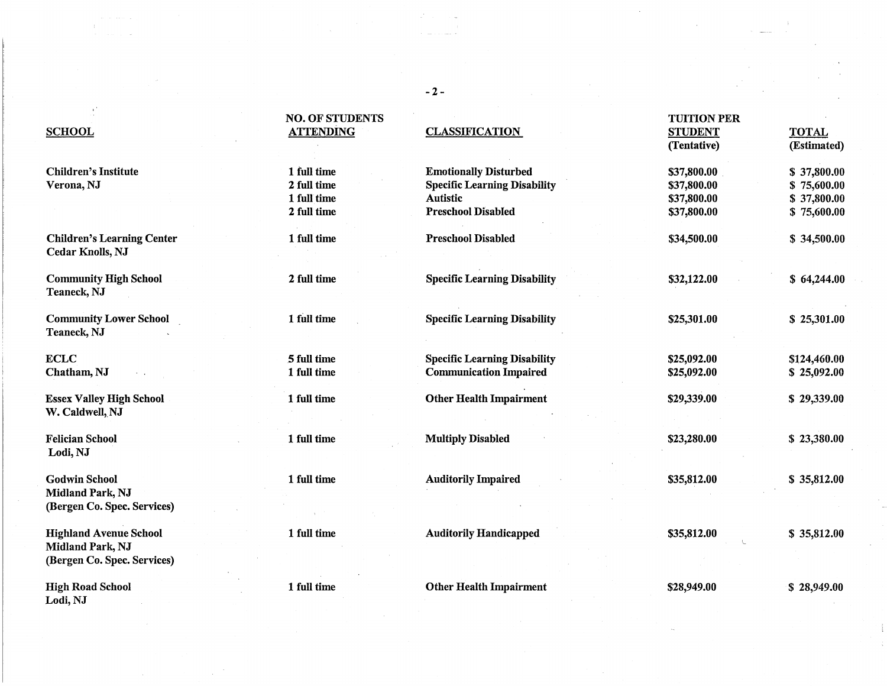# NO. OF STUDENTS TUITION PER SCHO\_QL .ATTENDING CLASSIFICATION\_ STUDENT TOTAL (Tentative) (Estimated) Children's Institute 1 and 1 full time 1 full time Emotionally Disturbed 537,800.00 5 37,800.00 Verona, NJ 2 full time Specific Learning Disability \$37,800.00 \$ 75,600.00 1 full time Autistic \$37,800.00 \$ 37,800.00 2 full time Preschool Disabled \$37,800.00 \$ 75,600.00 Children's Learning Center 1 full time Preschool Disabled \$34,500.00 \$34,500.00 \$34,500.00 Community High School 2 full time Specific Learning Disability \$32,122.00 \$64,244.00 Community Lower School 1 full time Specific Learning Disability \$25,301.00 \$ 25,301.00 ECLC 5full time Specific Learning Disability \$25,092.00 \$124,460.00 Chatham, NJ 25,092.00 1 full time Communication Impaired \$25,092.00 \$25,092.00 Essex Valley High School 1 full time **Other Health Impairment** \$29,339.00 \$ 29,339.00 \$ 29,339.00 Felician School 1 full time Multiply Disabled \$23,280.00 \$ 23,380.00 Godwin School **1 full time Auditorily Impaired** 535,812.00 \$ 35,812.00 \$ 35,812.00 Highland Avenue School 1 full time Auditorily Handicapped \$35,812.00 \$35,812.00 \$ 35,812.00

Cedar Knolls, NJ

Teaneck, NJ

Teaneck, NJ

W. Caldwell, NJ

Lodi,NJ

Midland Park, NJ (Bergen Co. Spec. Services)

Midland Park, NJ (Bergen Co. Spec. Services)

High Road School **1** full time **Other Health Impairment** \$28,949.00 \$28,949.00 \$28,949.00 Lodi,NJ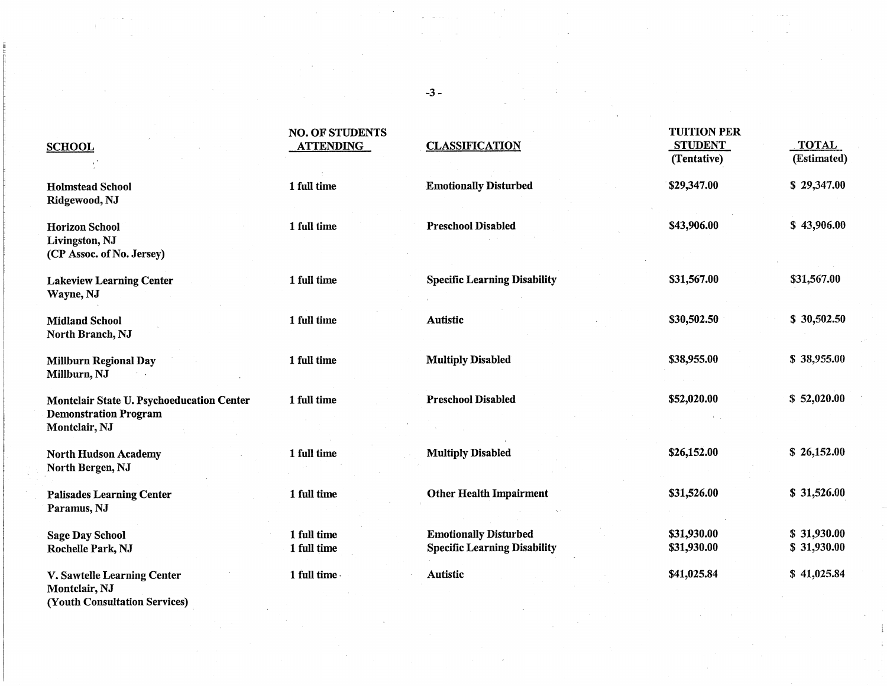### **SCHOOL ATTENDING CLASSIFICATION STUDENT TOTAL**

(Youth Consultation Services)

(Tentative) (Estimated) Holmstead School 1 full time 1 full time Emotionally Disturbed \$29,347.00 \$29,347.00 Ridgewood, NJ Horizon School **1** full time Preschool Disabled \$43,906.00 \$43,906.00 \$43,906.00 Livingston, NJ (CP Assoc. of No. Jersey) Lakeview Learning Center 1 full time Specific Learning Disability \$31,567.00 \$31,567.00 \$31,567.00 Wayne, NJ Midland School **1** full time Autistic 5 30,502.50 \$ 30,502.50 North Branch, NJ Millburn Regional Day 1 full time 1 full time Multiply Disabled \$38,955.00 \$ 38,955.00 Millburn, NJ Montclair State U. Psychoeducation Center 1 full time Preschool Disabled \$52,020.00 \$52,020.00 \$ 52,020.00 Demonstration Program Montclair, NJ North Hudson Academy 1 full time 1 full time Multiply Disabled \$26,152.00 \$ 26,152.00 North Bergen, NJ Palisades Learning Center 1 full time 1 full time Other Health Impairment \$31,526.00 \$ 31,526.00 Paramus, NJ Sage Day School 1 full time Emotionally Disturbed \$31,930.00 \$ 31,930.00 Rochelle Park, NJ 1 full time Specific Learning Disability \$31,930.00 \$ 31,930.00 V. Sawtelle Learning Center 1 full time- Autistic 341,025.84 \$41,025.84 \$41,025.84 Montclair, NJ

-3-

NO. OF STUDENTS TUITION PER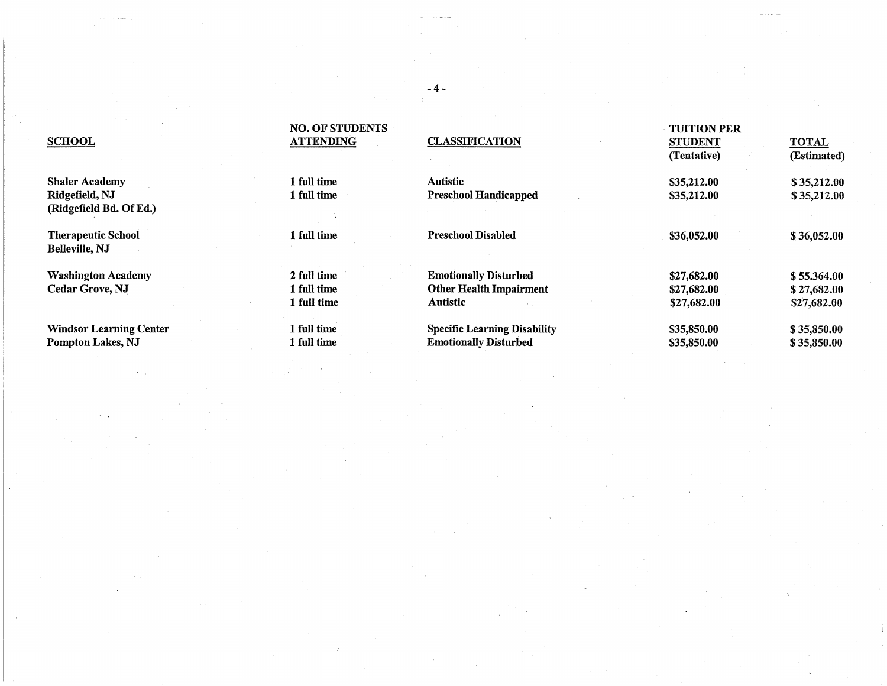|                                | <b>NO. OF STUDENTS</b> |                                     | <b>TUITION PER</b> |              |
|--------------------------------|------------------------|-------------------------------------|--------------------|--------------|
| <b>SCHOOL</b>                  | <b>ATTENDING</b>       | <b>CLASSIFICATION</b>               | <b>STUDENT</b>     | <b>TOTAL</b> |
|                                |                        |                                     | (Tentative)        | (Estimated)  |
| <b>Shaler Academy</b>          | 1 full time            | <b>Autistic</b>                     | \$35,212.00        | \$35,212.00  |
| Ridgefield, NJ                 | 1 full time            | <b>Preschool Handicapped</b>        | \$35,212.00        | \$35,212.00  |
| (Ridgefield Bd. Of Ed.)        |                        |                                     |                    |              |
| <b>Therapeutic School</b>      | 1 full time            | <b>Preschool Disabled</b>           | \$36,052.00        | \$36,052.00  |
| <b>Belleville, NJ</b>          |                        |                                     |                    |              |
| <b>Washington Academy</b>      | 2 full time            | <b>Emotionally Disturbed</b>        | \$27,682.00        | \$55.364.00  |
| <b>Cedar Grove, NJ</b>         | 1 full time            | <b>Other Health Impairment</b>      | \$27,682.00        | \$27,682.00  |
|                                | 1 full time            | <b>Autistic</b>                     | \$27,682.00        | \$27,682.00  |
| <b>Windsor Learning Center</b> | 1 full time            | <b>Specific Learning Disability</b> | \$35,850.00        | \$35,850.00  |
| Pompton Lakes, NJ              | 1 full time            | <b>Emotionally Disturbed</b>        | \$35,850.00        | \$35,850.00  |

### -4-